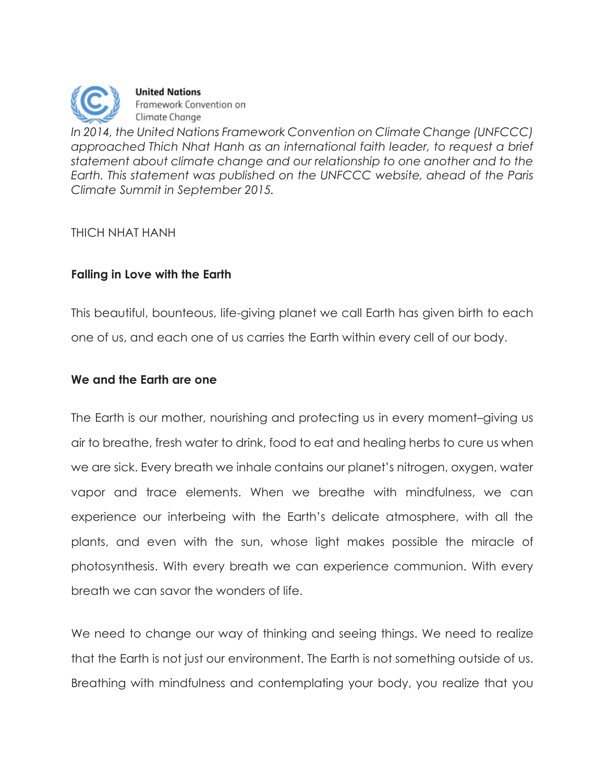

**United Nations** Framework Convention on Climate Change

*In 2014, the United Nations Framework Convention on Climate Change (UNFCCC) approached Thich Nhat Hanh as an international faith leader, to request a brief statement about climate change and our relationship to one another and to the Earth. This statement was published on the UNFCCC website, ahead of the Paris Climate Summit in September 2015.*

### THICH NHAT HANH

# **Falling in Love with the Earth**

This beautiful, bounteous, life-giving planet we call Earth has given birth to each one of us, and each one of us carries the Earth within every cell of our body.

# **We and the Earth are one**

The Earth is our mother, nourishing and protecting us in every moment–giving us air to breathe, fresh water to drink, food to eat and healing herbs to cure us when we are sick. Every breath we inhale contains our planet's nitrogen, oxygen, water vapor and trace elements. When we breathe with mindfulness, we can experience our interbeing with the Earth's delicate atmosphere, with all the plants, and even with the sun, whose light makes possible the miracle of photosynthesis. With every breath we can experience communion. With every breath we can savor the wonders of life.

We need to change our way of thinking and seeing things. We need to realize that the Earth is not just our environment. The Earth is not something outside of us. Breathing with mindfulness and contemplating your body, you realize that you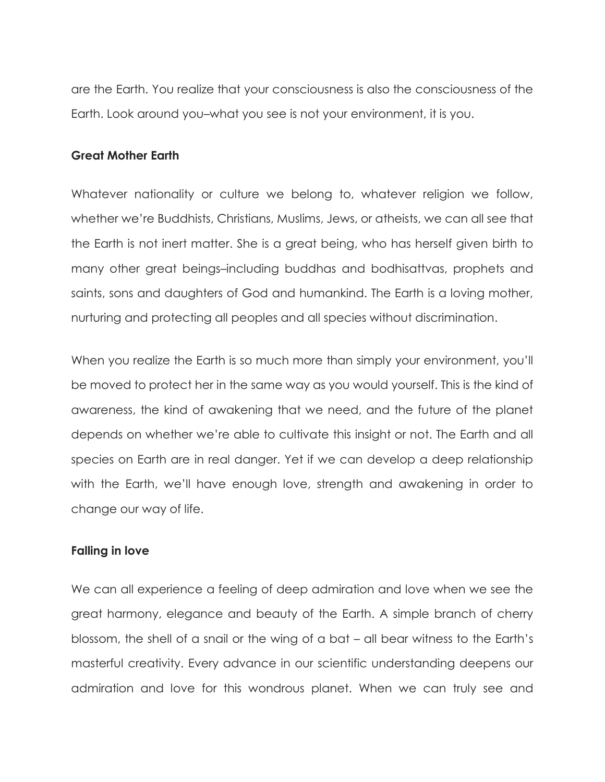are the Earth. You realize that your consciousness is also the consciousness of the Earth. Look around you–what you see is not your environment, it is you.

#### **Great Mother Earth**

Whatever nationality or culture we belong to, whatever religion we follow, whether we're Buddhists, Christians, Muslims, Jews, or atheists, we can all see that the Earth is not inert matter. She is a great being, who has herself given birth to many other great beings–including buddhas and bodhisattvas, prophets and saints, sons and daughters of God and humankind. The Earth is a loving mother, nurturing and protecting all peoples and all species without discrimination.

When you realize the Earth is so much more than simply your environment, you'll be moved to protect her in the same way as you would yourself. This is the kind of awareness, the kind of awakening that we need, and the future of the planet depends on whether we're able to cultivate this insight or not. The Earth and all species on Earth are in real danger. Yet if we can develop a deep relationship with the Earth, we'll have enough love, strength and awakening in order to change our way of life.

#### **Falling in love**

We can all experience a feeling of deep admiration and love when we see the great harmony, elegance and beauty of the Earth. A simple branch of cherry blossom, the shell of a snail or the wing of a bat – all bear witness to the Earth's masterful creativity. Every advance in our scientific understanding deepens our admiration and love for this wondrous planet. When we can truly see and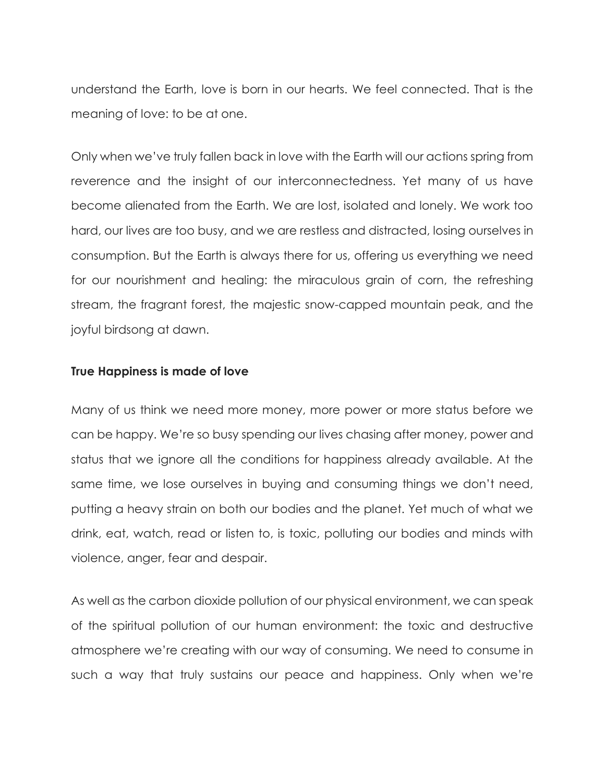understand the Earth, love is born in our hearts. We feel connected. That is the meaning of love: to be at one.

Only when we've truly fallen back in love with the Earth will our actions spring from reverence and the insight of our interconnectedness. Yet many of us have become alienated from the Earth. We are lost, isolated and lonely. We work too hard, our lives are too busy, and we are restless and distracted, losing ourselves in consumption. But the Earth is always there for us, offering us everything we need for our nourishment and healing: the miraculous grain of corn, the refreshing stream, the fragrant forest, the majestic snow-capped mountain peak, and the joyful birdsong at dawn.

#### **True Happiness is made of love**

Many of us think we need more money, more power or more status before we can be happy. We're so busy spending our lives chasing after money, power and status that we ignore all the conditions for happiness already available. At the same time, we lose ourselves in buying and consuming things we don't need, putting a heavy strain on both our bodies and the planet. Yet much of what we drink, eat, watch, read or listen to, is toxic, polluting our bodies and minds with violence, anger, fear and despair.

As well as the carbon dioxide pollution of our physical environment, we can speak of the spiritual pollution of our human environment: the toxic and destructive atmosphere we're creating with our way of consuming. We need to consume in such a way that truly sustains our peace and happiness. Only when we're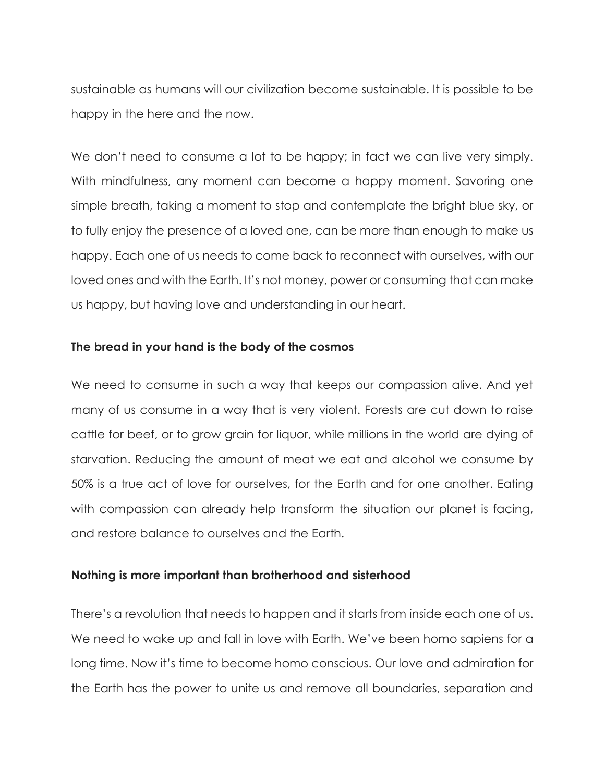sustainable as humans will our civilization become sustainable. It is possible to be happy in the here and the now.

We don't need to consume a lot to be happy; in fact we can live very simply. With mindfulness, any moment can become a happy moment. Savoring one simple breath, taking a moment to stop and contemplate the bright blue sky, or to fully enjoy the presence of a loved one, can be more than enough to make us happy. Each one of us needs to come back to reconnect with ourselves, with our loved ones and with the Earth. It's not money, power or consuming that can make us happy, but having love and understanding in our heart.

### **The bread in your hand is the body of the cosmos**

We need to consume in such a way that keeps our compassion alive. And yet many of us consume in a way that is very violent. Forests are cut down to raise cattle for beef, or to grow grain for liquor, while millions in the world are dying of starvation. Reducing the amount of meat we eat and alcohol we consume by 50% is a true act of love for ourselves, for the Earth and for one another. Eating with compassion can already help transform the situation our planet is facing, and restore balance to ourselves and the Earth.

# **Nothing is more important than brotherhood and sisterhood**

There's a revolution that needs to happen and it starts from inside each one of us. We need to wake up and fall in love with Earth. We've been homo sapiens for a long time. Now it's time to become homo conscious. Our love and admiration for the Earth has the power to unite us and remove all boundaries, separation and